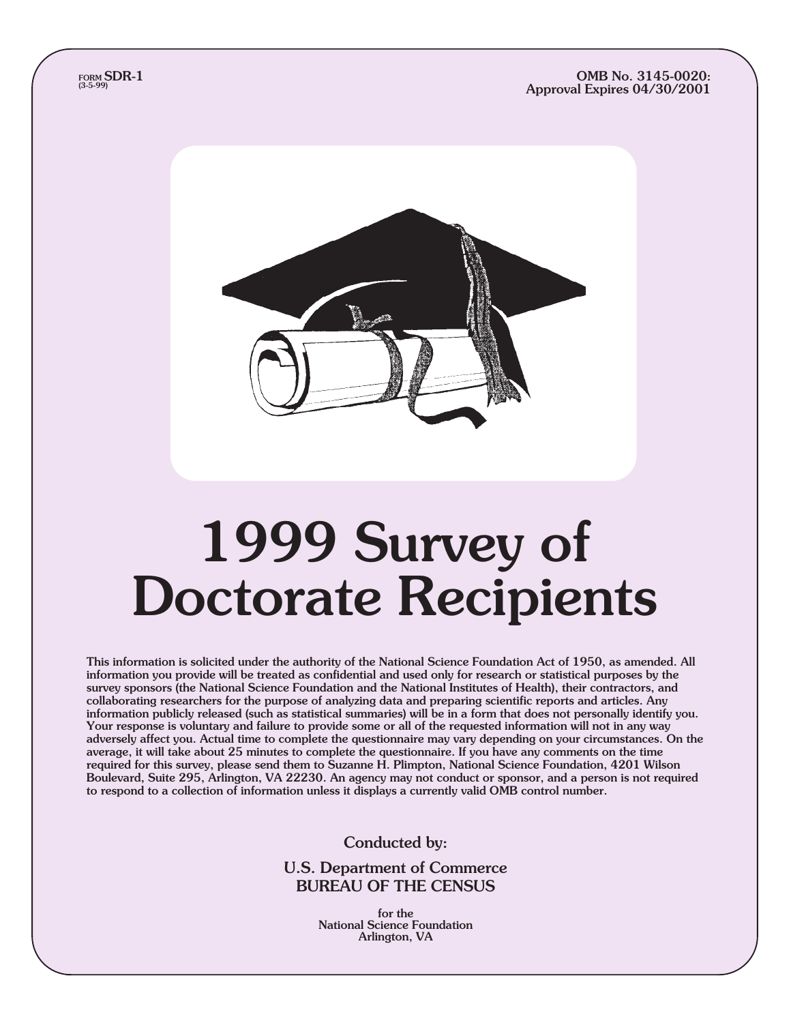#### OMB No. 3145-0020: Approval Expires 04/30/2001



# 1999 Survey of Doctorate Recipients

This information is solicited under the authority of the National Science Foundation Act of 1950, as amended. All information you provide will be treated as confidential and used only for research or statistical purposes by the survey sponsors (the National Science Foundation and the National Institutes of Health), their contractors, and collaborating researchers for the purpose of analyzing data and preparing scientific reports and articles. Any information publicly released (such as statistical summaries) will be in a form that does not personally identify you. Your response is voluntary and failure to provide some or all of the requested information will not in any way adversely affect you. Actual time to complete the questionnaire may vary depending on your circumstances. On the average, it will take about 25 minutes to complete the questionnaire. If you have any comments on the time required for this survey, please send them to Suzanne H. Plimpton, National Science Foundation, 4201 Wilson Boulevard, Suite 295, Arlington, VA 22230. An agency may not conduct or sponsor, and a person is not required to respond to a collection of information unless it displays a currently valid OMB control number.

Conducted by:

U.S. Department of Commerce BUREAU OF THE CENSUS

> for the National Science Foundation Arlington, VA

form **SDR-1**<br>(3-5-99)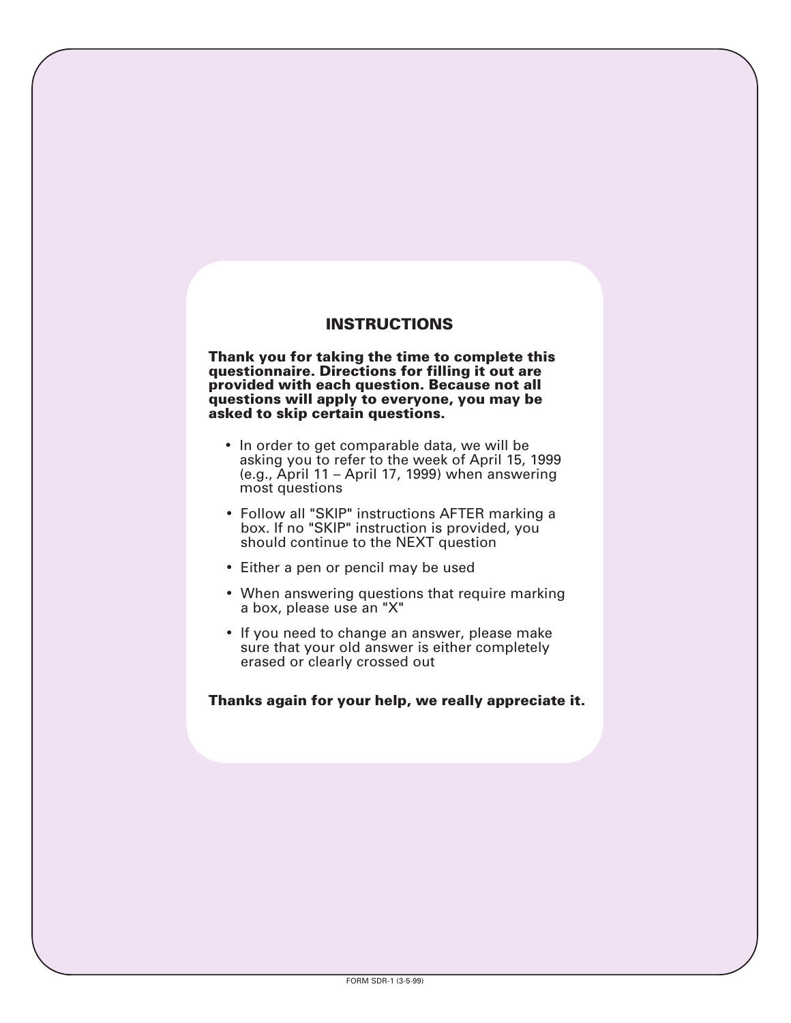# **INSTRUCTIONS**

**Thank you for taking the time to complete this questionnaire. Directions for filling it out are provided with each question. Because not all questions will apply to everyone, you may be asked to skip certain questions.**

- In order to get comparable data, we will be asking you to refer to the week of April 15, 1999 (e.g., April 11 – April 17, 1999) when answering most questions
- Follow all "SKIP" instructions AFTER marking a box. If no "SKIP" instruction is provided, you should continue to the NEXT question
- Either a pen or pencil may be used
- When answering questions that require marking a box, please use an "X"
- If you need to change an answer, please make sure that your old answer is either completely erased or clearly crossed out

#### **Thanks again for your help, we really appreciate it.**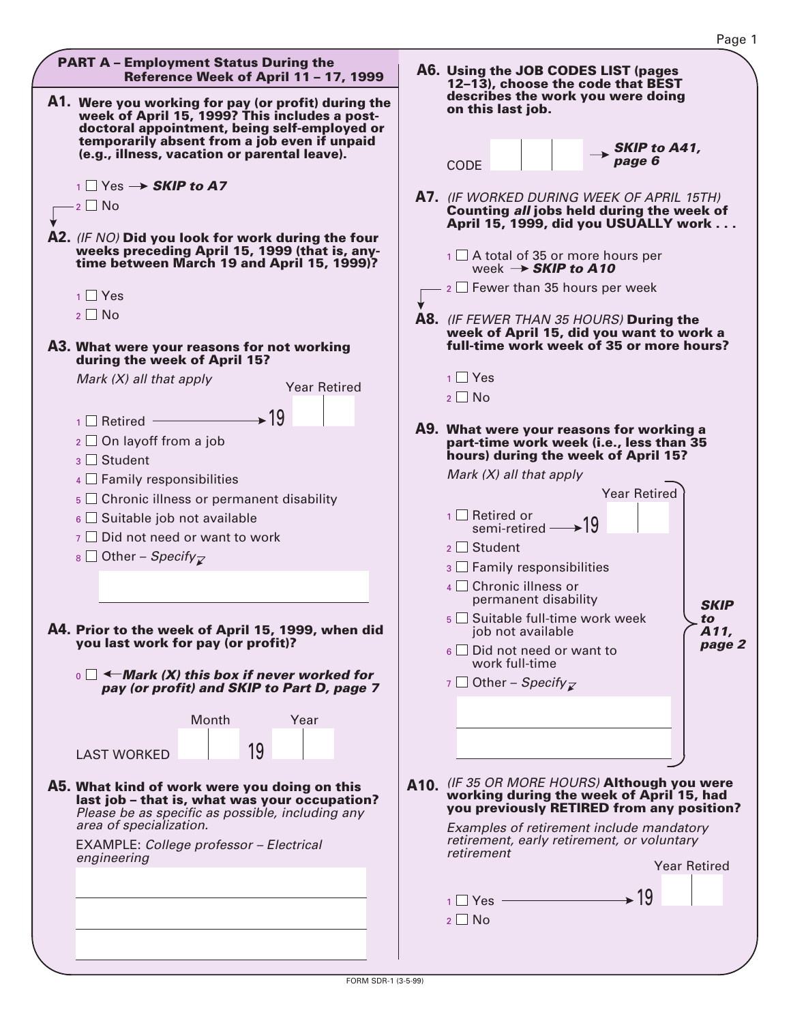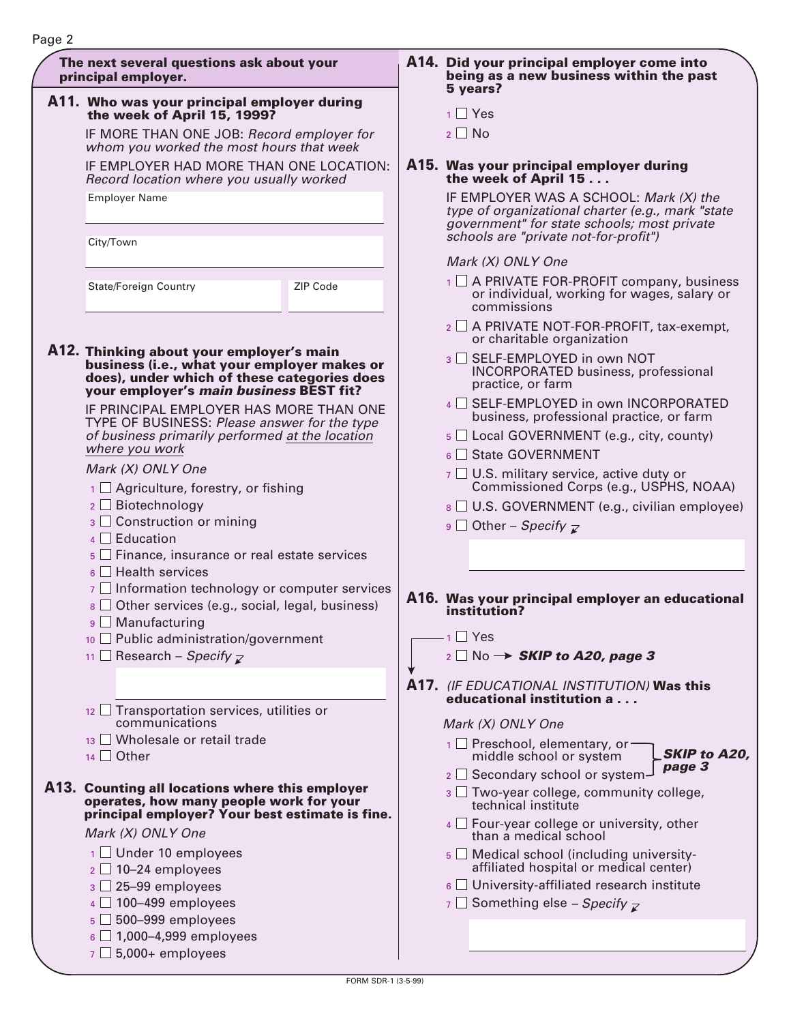| The next several questions ask about your<br>principal employer.                                                                                                                  |          | A14. Did your principal employer come into<br>being as a new business within the past<br>5 years?                                                                                   |
|-----------------------------------------------------------------------------------------------------------------------------------------------------------------------------------|----------|-------------------------------------------------------------------------------------------------------------------------------------------------------------------------------------|
| A11. Who was your principal employer during<br>the week of April 15, 1999?                                                                                                        |          | $1$ $\blacksquare$ Yes                                                                                                                                                              |
| IF MORE THAN ONE JOB: Record employer for<br>whom you worked the most hours that week                                                                                             |          | $2 \square$ No                                                                                                                                                                      |
| IF EMPLOYER HAD MORE THAN ONE LOCATION:<br>Record location where you usually worked                                                                                               |          | A15. Was your principal employer during<br>the week of April 15                                                                                                                     |
| <b>Employer Name</b>                                                                                                                                                              |          | IF EMPLOYER WAS A SCHOOL: Mark (X) the<br>type of organizational charter (e.g., mark "state<br>government" for state schools; most private<br>schools are "private not-for-profit") |
| City/Town                                                                                                                                                                         |          | Mark (X) ONLY One                                                                                                                                                                   |
| <b>State/Foreign Country</b>                                                                                                                                                      | ZIP Code | $\overline{1}$ $\Box$ A PRIVATE FOR-PROFIT company, business<br>or individual, working for wages, salary or<br>commissions                                                          |
|                                                                                                                                                                                   |          | 2 □ A PRIVATE NOT-FOR-PROFIT, tax-exempt,<br>or charitable organization                                                                                                             |
| A12. Thinking about your employer's main<br>business (i.e., what your employer makes or<br>does), under which of these categories does<br>your employer's main business BEST fit? |          | 3 SELF-EMPLOYED in own NOT<br><b>INCORPORATED business, professional</b><br>practice, or farm                                                                                       |
| IF PRINCIPAL EMPLOYER HAS MORE THAN ONE<br>TYPE OF BUSINESS: Please answer for the type                                                                                           |          | 4 SELF-EMPLOYED in own INCORPORATED<br>business, professional practice, or farm                                                                                                     |
| of business primarily performed at the location<br>where you work                                                                                                                 |          | $5 \square$ Local GOVERNMENT (e.g., city, county)                                                                                                                                   |
| Mark (X) ONLY One                                                                                                                                                                 |          | $_6$ State GOVERNMENT                                                                                                                                                               |
| $\frac{1}{1}$ Agriculture, forestry, or fishing                                                                                                                                   |          | $\overline{7}$ U.S. military service, active duty or<br>Commissioned Corps (e.g., USPHS, NOAA)                                                                                      |
| $2 \Box$ Biotechnology                                                                                                                                                            |          | $8 \square$ U.S. GOVERNMENT (e.g., civilian employee)                                                                                                                               |
| $3 \square$ Construction or mining<br>$4 \Box$ Education                                                                                                                          |          | 9 Other – Specify $\overline{z}$                                                                                                                                                    |
| $\overline{5}$ Finance, insurance or real estate services                                                                                                                         |          |                                                                                                                                                                                     |
| $6 \Box$ Health services<br>$\overline{z}$ Information technology or computer services                                                                                            |          |                                                                                                                                                                                     |
| $8 \square$ Other services (e.g., social, legal, business)                                                                                                                        |          | A16. Was your principal employer an educational<br>institution?                                                                                                                     |
| 9 □ Manufacturing<br>10 Public administration/government                                                                                                                          |          | $\overline{1}$ Yes                                                                                                                                                                  |
| 11 Research – Specify $\overline{z}$                                                                                                                                              |          | $_2 \Box$ No $\rightarrow$ SKIP to A20, page 3                                                                                                                                      |
|                                                                                                                                                                                   |          | A17. (IF EDUCATIONAL INSTITUTION) Was this                                                                                                                                          |
| 12 Transportation services, utilities or                                                                                                                                          |          | educational institution a                                                                                                                                                           |
| communications<br>13 Wholesale or retail trade                                                                                                                                    |          | Mark (X) ONLY One                                                                                                                                                                   |
| $14$ Other                                                                                                                                                                        |          | 1 □ Preschool, elementary, or-<br><b>SKIP to A20,</b><br>middle school or system<br>page 3                                                                                          |
| A13. Counting all locations where this employer                                                                                                                                   |          | 2 □ Secondary school or system-                                                                                                                                                     |
| operates, how many people work for your                                                                                                                                           |          | $3 \square$ Two-year college, community college,<br>technical institute                                                                                                             |
| principal employer? Your best estimate is fine.<br>Mark (X) ONLY One                                                                                                              |          | $4 \Box$ Four-year college or university, other<br>than a medical school                                                                                                            |
| $1$ Under 10 employees                                                                                                                                                            |          | $\overline{5}$ Medical school (including university-                                                                                                                                |
| $2 \square$ 10-24 employees                                                                                                                                                       |          | affiliated hospital or medical center)                                                                                                                                              |
| $3 \square$ 25-99 employees                                                                                                                                                       |          | $6 \square$ University-affiliated research institute                                                                                                                                |
| $4 \square$ 100-499 employees                                                                                                                                                     |          | $\overline{z}$ Something else – Specify $\overline{z}$                                                                                                                              |
| $5\Box$ 500-999 employees<br>$6\Box$ 1,000-4,999 employees                                                                                                                        |          |                                                                                                                                                                                     |
|                                                                                                                                                                                   |          |                                                                                                                                                                                     |

 $\sigma$   $\Box$  5,000+ employees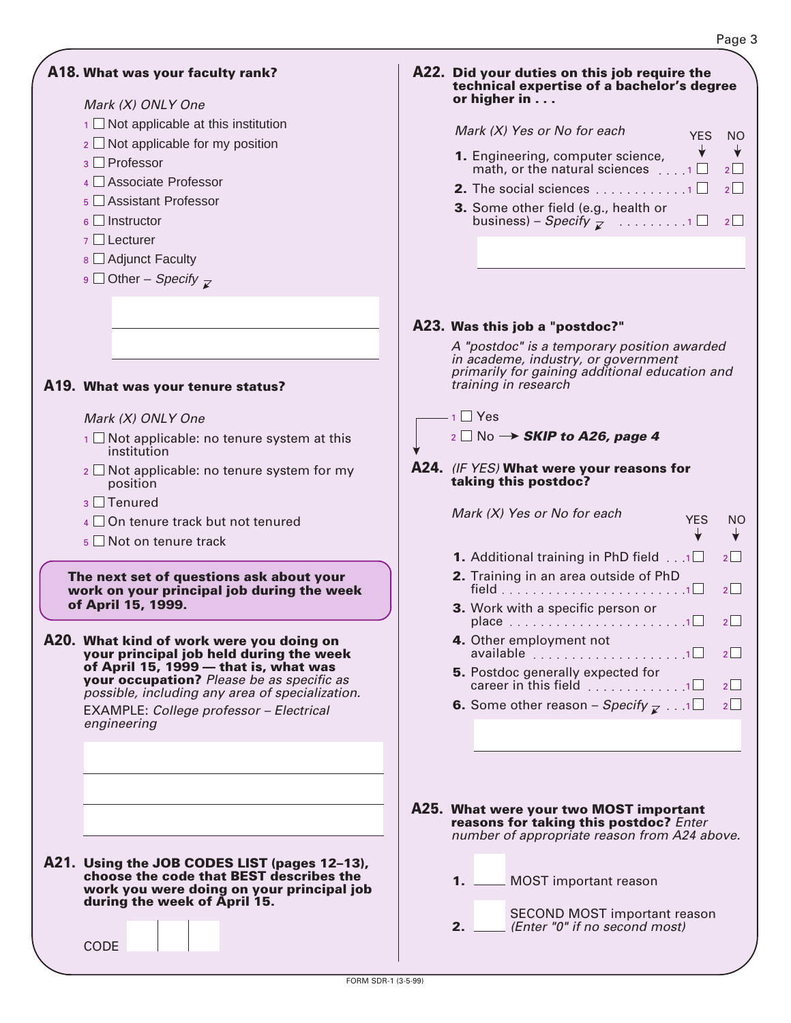╈

# **A18. What was your faculty rank?**

#### Mark (X) ONLY One

- $\overline{1}$  Not applicable at this institution
- $_2$   $\Box$  Not applicable for my position
- <sub>3</sub> □ Professor
- 4 □ Associate Professor
- <sub>5</sub> □ Assistant Professor
- $_6$   $\Box$  Instructor
- 7 □ Lecturer
- <sub>8</sub> □ Adjunct Faculty
- <sub>9</sub> □ Other *Specify*

# **What was your tenure status? A19.**

#### Mark (X) ONLY One

- $1 \square$  Not applicable: no tenure system at this institution
- $_2$   $\Box$  Not applicable: no tenure system for my position
- $3$  Tenured
- $4 \square$  On tenure track but not tenured
- 5 Not on tenure track

**The next set of questions ask about your work on your principal job during the week of April 15, 1999.**

**What kind of work were you doing on your principal job held during the week of April 15, 1999 — that is, what was your occupation?** Please be as specific as possible, including any area of specialization. **A20.** EXAMPLE: College professor – Electrical engineering

| A21. Using the JOB CODES LIST (pages 12-13), |
|----------------------------------------------|
| choose the code that BEST describes the      |
| work you were doing on your principal job    |
| during the week of April 15.                 |

**CODE** 

| A22. Did your duties on this job require the |
|----------------------------------------------|
| technical expertise of a bachelor's degree   |
| or higher in $\ldots$                        |

#### Mark (X) Yes or No for each YES NO  $\downarrow$

- math, or the natural sciences  $\dots$  1  $\Box$  2 **1.** Engineering, computer science, **2.** The social sciences  $\ldots \ldots \ldots \ldots \sqcap \square$  2
- **3.** Some other field (e.g., health or business) – *Specify*  $\overline{z}$  ..........1  $\Box$  2

# (IF YES) **What were your reasons for A24. taking this postdoc? What were your two MOST important A25. A23. Was this job a "postdoc?"** Mark (X) Yes or No for each 1 2 field 1 2 place 1 2 available career in this field  $\,\dots\, \dots\, \dots\, \dots\, 1\,$  2 **6.** Some other reason – Specify  $\mathcal{F}$  . . . . 1 $\Box$  2 YES NO **1.** Additional training in PhD field  $\overline{1, 1}$   $\overline{2}$   $\overline{2}$ **2.** Training in an area outside of PhD **3.** Work with a specific person or **4.** Other employment not **5.** Postdoc generally expected for A "postdoc" is a temporary position awarded in academe, industry, or government primarily for gaining additional education and training in research  $1$  Yes  $_2$  No  $\rightarrow$  **SKIP to A26, page 4**

**reasons for taking this postdoc?** Enter number of appropriate reason from A24 above.

|  |  |  | 1. __ MOST important reason |  |
|--|--|--|-----------------------------|--|
|--|--|--|-----------------------------|--|

SECOND MOST important reason (Enter "0" if no second most)

**2.**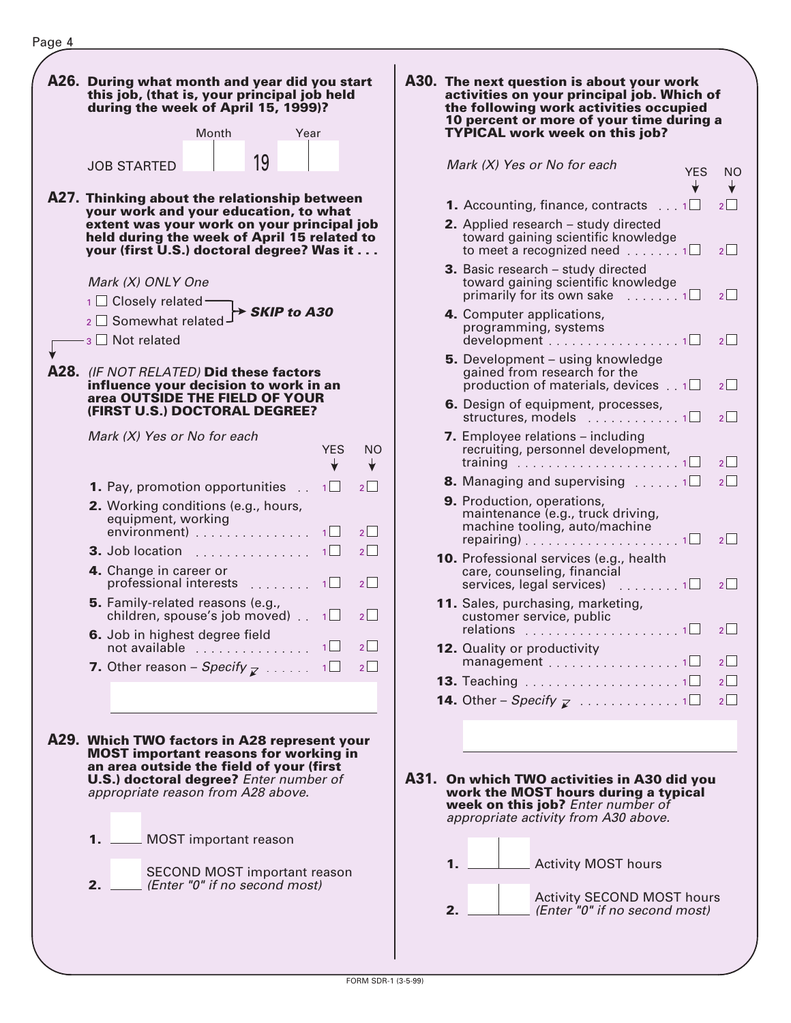

| activities on your principal job. Which of<br>the following work activities occupied<br>10 percent or more of your time during a<br><b>TYPICAL work week on this job?</b> |     |                                |
|---------------------------------------------------------------------------------------------------------------------------------------------------------------------------|-----|--------------------------------|
| Mark (X) Yes or No for each                                                                                                                                               | YES | ΝO                             |
| 1. Accounting, finance, contracts<br>$\ldots$ 1 $\Box$                                                                                                                    |     | $2 \mid$ $\mid$                |
| 2. Applied research - study directed<br>toward gaining scientific knowledge<br>to meet a recognized need $\ldots \ldots 1$                                                |     | $2^{\vert}$                    |
| 3. Basic research - study directed<br>toward gaining scientific knowledge<br>primarily for its own sake $\ldots \ldots 1$                                                 |     | $2$   $\overline{\phantom{a}}$ |
| 4. Computer applications,<br>programming, systems<br>$d$ evelopment 1 $\square$                                                                                           |     | $2^{\vert}$                    |
| 5. Development - using knowledge<br>gained from research for the<br>production of materials, devices $\ldots$ 1 $\square$                                                 |     | $2^{\vert}$                    |
| 6. Design of equipment, processes,<br>structures, models<br>. 1 $\Box$                                                                                                    |     | $2$   $\overline{\phantom{a}}$ |
| 7. Employee relations - including<br>recruiting, personnel development,<br>training $\ldots \ldots \ldots \ldots \ldots \ldots \ldots \ldots$                             |     | $2$   $\sqrt{ }$               |
| <b>8.</b> Managing and supervising $\ldots \ldots \cdot \square$                                                                                                          |     | $\overline{2}$                 |
| 9. Production, operations,<br>maintenance (e.g., truck driving,<br>machine tooling, auto/machine<br>repairing)1                                                           |     | $2^{\vert}$                    |
| 10. Professional services (e.g., health<br>care, counseling, financial<br>services, legal services)<br>$\ldots \ldots \ldots 1$                                           |     | $2^{\vert}$                    |
| 11. Sales, purchasing, marketing,<br>customer service, public                                                                                                             |     | $2$   $\overline{\phantom{a}}$ |
| 12. Quality or productivity<br>$m$ anagement $\ldots \ldots \ldots \ldots \ldots 1$                                                                                       |     | 2                              |
| <b>13.</b> Teaching $\ldots\ldots\ldots\ldots\ldots\ldots\ldots\ldots\sqcap\Box$                                                                                          |     | $\overline{2}$                 |
| <b>14.</b> Other – Specify $\vec{z}$ 1                                                                                                                                    |     | $2^{\square}$                  |
|                                                                                                                                                                           |     |                                |

**A31. On which TWO activities in A30 did you work the MOST hours during a typical** week on this job? Enter number of appropriate activity from A30 above.

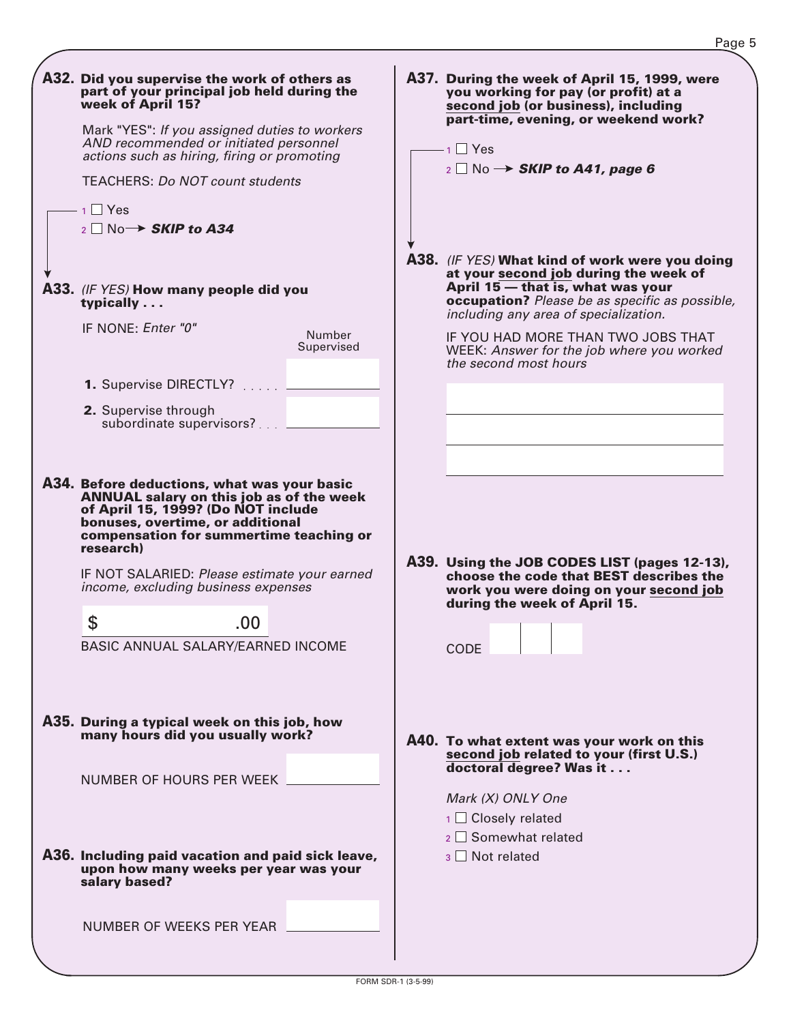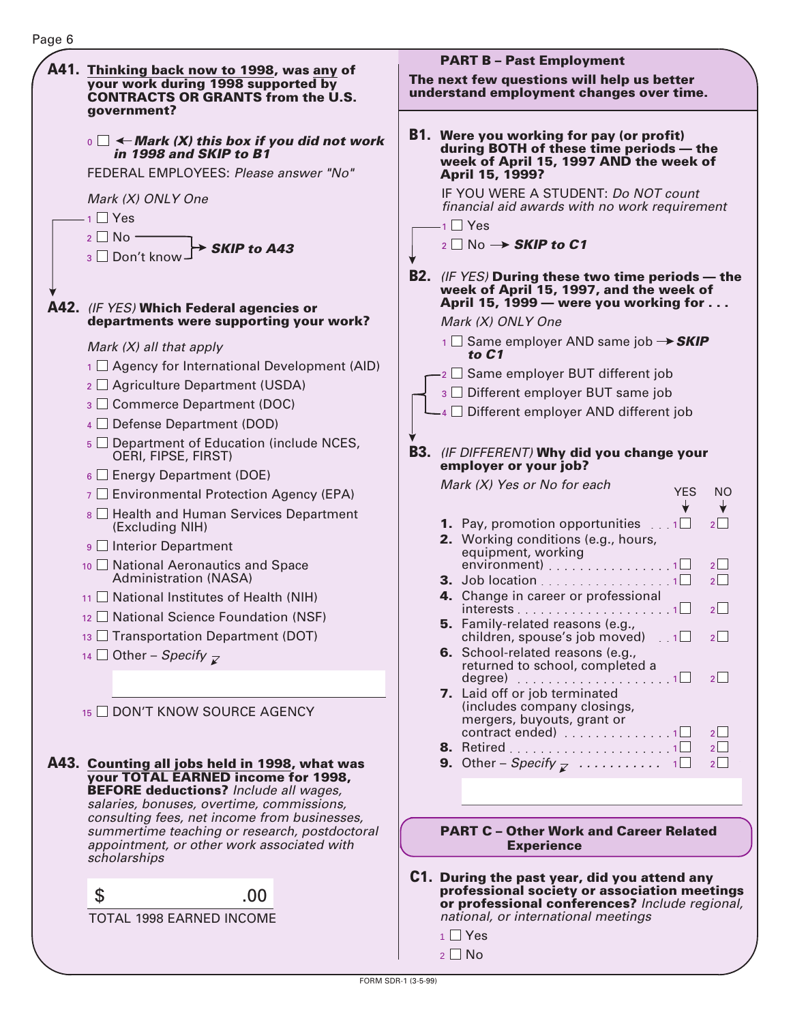#### **PART B – Past Employment A41. Thinking back now to 1998, was any of The next few questions will help us better your work during 1998 supported by understand employment changes over time. CONTRACTS OR GRANTS from the U.S. government? Were you working for pay (or profit) B1.**  $\mathbf{0} \subset \mathbf{A}$  Mark (X) this box if you did not work **during BOTH of these time periods — the in 1998 and SKIP to B1 week of April 15, 1997 AND the week of** FEDERAL EMPLOYEES: Please answer "No" **April 15, 1999?** IF YOU WERE A STUDENT: Do NOT count Mark (X) ONLY One financial aid awards with no work requirement 1 □ Yes Yes 1 2 □ No  $_2$  No  $\rightarrow$  **SKIP to C1 SKIP to A43** <sub>3</sub> □ Don't know **B2.** (IF YES) **During these two time periods — the week of April 15, 1997, and the week of April 15, 1999 — were you working for . . . A42.** (IF YES) **Which Federal agencies or departments were supporting your work?** Mark (X) ONLY One 1 □ Same employer AND same job → SKIP Mark (X) all that apply **to C1** 1 Agency for International Development (AID)  $_2\,\square$  Same employer BUT different job 2 Agriculture Department (USDA)  $_3$   $\Box$  Different employer BUT same job 3 Commerce Department (DOC)  $_4$   $\Box$  Different employer AND different job 4 Defense Department (DOD) 5 Department of Education (include NCES, **B3.** (IF DIFFERENT) **Why did you change your** OERI, FIPSE, FIRST) **employer or your job?**  $_6\Box$  Energy Department (DOE) Mark (X) Yes or No for each YES NO  $\tau \Box$  Environmental Protection Agency (EPA) ╈ ╈  $\rm s\sqsubseteq$  Health and Human Services Department (Excluding NIH) **1.** Pay, promotion opportunities  $\ldots$  1 2 **2.** Working conditions (e.g., hours,  $\mathsf{g} \ \Box$  Interior Department equipment, working environment)  $\ldots \ldots \ldots \ldots \ldots 1$  2  $10$   $\Box$  National Aeronautics and Space Administration (NASA) **3.** Job location . . . . . . . . . . . . . . . . 1 $\Box$  2 **4.** Change in career or professional  $11$   $\Box$  National Institutes of Health (NIH)  $interests \ldots \ldots \ldots \ldots \ldots \ldots \ldots 1 \square - 2$  $12 \square$  National Science Foundation (NSF) **5.** Family-related reasons (e.g.,  $13$   $\Box$  Transportation Department (DOT) children, spouse's job moved)  $\,$  .  $\,$  1  $\Box$   $\,$  2  $\,$ **6.** School-related reasons (e.g., 14  $\Box$  Other – Specify returned to school, completed a degree) ....................1□ 2 **7.** Laid off or job terminated (includes company closings, 15 ODN'T KNOW SOURCE AGENCY mergers, buyouts, grant or contract ended)  $\ldots \ldots \ldots \ldots \ldots \sqcap$  2 **8.** Retired 1 2 **A43. Counting all jobs held in 1998, what was 9.** Other – Specify ........... 1 2 **your TOTAL EARNED income for 1998, BEFORE deductions?** Include all wages, salaries, bonuses, overtime, commissions, consulting fees, net income from businesses, **PART C – Other Work and Career Related** summertime teaching or research, postdoctoral appointment, or other work associated with **Experience** scholarships

TOTAL 1998 EARNED INCOME  $\sim$  .00

Page 6

- **C1. During the past year, did you attend any professional society or association meetings or professional conferences?** Include regional, national, or international meetings
	- $1$  Yes
	- $2 \square$  No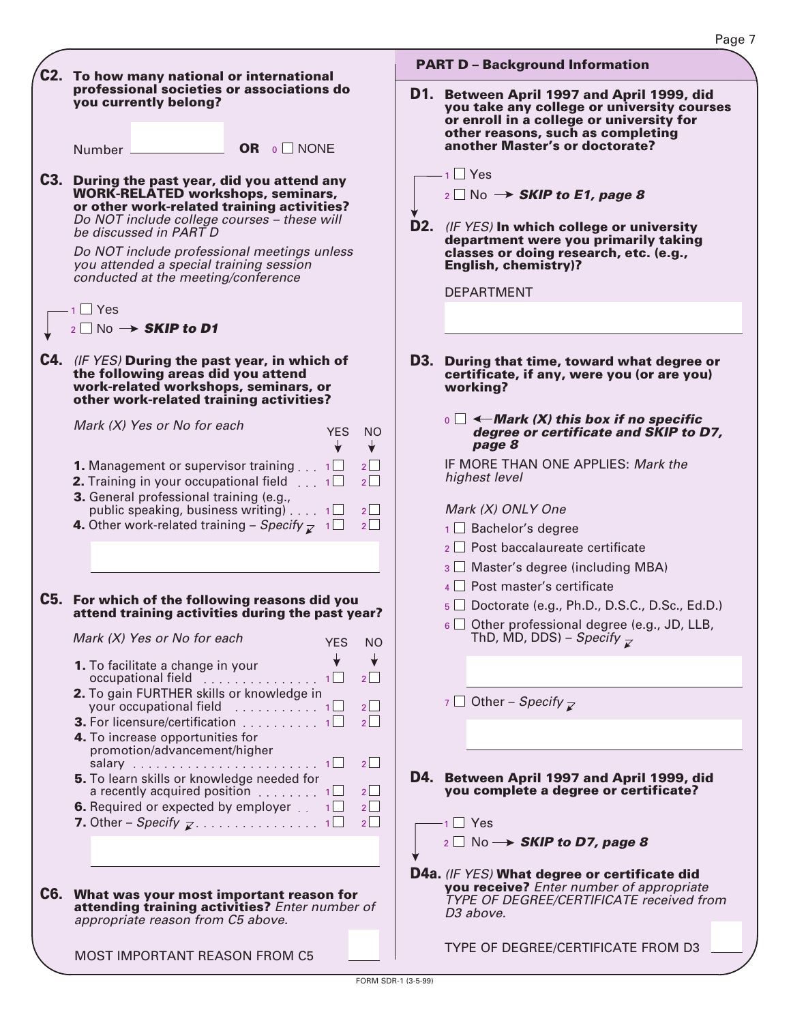| C2. To how many national or international                                                                                                                                                                                                                                                                                                                                                                                                           | <b>PART D - Background Information</b>                                                                                                                                                                                                                                                                                                                                                                                                                         |
|-----------------------------------------------------------------------------------------------------------------------------------------------------------------------------------------------------------------------------------------------------------------------------------------------------------------------------------------------------------------------------------------------------------------------------------------------------|----------------------------------------------------------------------------------------------------------------------------------------------------------------------------------------------------------------------------------------------------------------------------------------------------------------------------------------------------------------------------------------------------------------------------------------------------------------|
| professional societies or associations do<br>you currently belong?<br>Number <u>■ OR</u> o NONE<br>C3. During the past year, did you attend any<br><b>WORK-RELATED workshops, seminars,</b><br>or other work-related training activities?<br>Do NOT include college courses - these will<br>be discussed in PART D<br>Do NOT include professional meetings unless<br>you attended a special training session<br>conducted at the meeting/conference | D1. Between April 1997 and April 1999, did<br>you take any college or university courses<br>or enroll in a college or university for<br>other reasons, such as completing<br>another Master's or doctorate?<br>- 1 □ Yes<br>$_2 \Box$ No $\rightarrow$ SKIP to E1, page 8<br>D2. (IF YES) In which college or university<br>department were you primarily taking<br>classes or doing research, etc. (e.g.,<br><b>English, chemistry)?</b><br><b>DEPARTMENT</b> |
| $1$ $\Box$ Yes<br>$_2$ No $\rightarrow$ SKIP to D1                                                                                                                                                                                                                                                                                                                                                                                                  |                                                                                                                                                                                                                                                                                                                                                                                                                                                                |
| C4. (IF YES) During the past year, in which of<br>the following areas did you attend<br>work-related workshops, seminars, or<br>other work-related training activities?                                                                                                                                                                                                                                                                             | D3. During that time, toward what degree or<br>certificate, if any, were you (or are you)<br>working?                                                                                                                                                                                                                                                                                                                                                          |
| Mark $(X)$ Yes or No for each<br><b>YES</b><br>NO.<br>$\downarrow$                                                                                                                                                                                                                                                                                                                                                                                  | $\overline{a}$ $\Box$ $\longleftarrow$ Mark (X) this box if no specific<br>degree or certificate and SKIP to D7,<br>page 8                                                                                                                                                                                                                                                                                                                                     |
| <b>1.</b> Management or supervisor training $\ldots$ 1<br>2<br><b>2.</b> Training in your occupational field $\ldots$ 1<br>$2\Box$<br>3. General professional training (e.g.,<br>$2\Box$<br>public speaking, business writing) $\ldots$ 1<br>$2\Box$<br><b>4.</b> Other work-related training – Specify $\mathbb{Z}$ 1                                                                                                                              | IF MORE THAN ONE APPLIES: Mark the<br>highest level<br>Mark (X) ONLY One<br>$1 \square$ Bachelor's degree                                                                                                                                                                                                                                                                                                                                                      |
|                                                                                                                                                                                                                                                                                                                                                                                                                                                     | $2\Box$ Post baccalaureate certificate<br>3 Master's degree (including MBA)                                                                                                                                                                                                                                                                                                                                                                                    |
| C5. For which of the following reasons did you<br>attend training activities during the past year?                                                                                                                                                                                                                                                                                                                                                  | 4 Post master's certificate<br>$5 \square$ Doctorate (e.g., Ph.D., D.S.C., D.Sc., Ed.D.)<br>$6 \square$ Other professional degree (e.g., JD, LLB,                                                                                                                                                                                                                                                                                                              |
| Mark (X) Yes or No for each<br><b>YES</b><br><b>NO</b>                                                                                                                                                                                                                                                                                                                                                                                              | ThD, MD, DDS) – Specify $\overline{\mathcal{L}}$                                                                                                                                                                                                                                                                                                                                                                                                               |
| 1. To facilitate a change in your<br>occupational field 1□<br>2<br>2. To gain FURTHER skills or knowledge in                                                                                                                                                                                                                                                                                                                                        | $\overline{z}$ Other – Specify $\overline{z}$                                                                                                                                                                                                                                                                                                                                                                                                                  |
| your occupational field 1<br>$2^{\vert}$<br><b>3.</b> For licensure/certification $\ldots \ldots \ldots 1$<br>2<br>4. To increase opportunities for<br>promotion/advancement/higher                                                                                                                                                                                                                                                                 |                                                                                                                                                                                                                                                                                                                                                                                                                                                                |
| 2<br>5. To learn skills or knowledge needed for<br>a recently acquired position 1<br>$2^{\vert}$<br><b>6.</b> Required or expected by employer $\ldots$ 1<br>$2\Box$                                                                                                                                                                                                                                                                                | D4. Between April 1997 and April 1999, did<br>you complete a degree or certificate?                                                                                                                                                                                                                                                                                                                                                                            |
| $2\Box$                                                                                                                                                                                                                                                                                                                                                                                                                                             | $-1$ $\Box$ Yes<br>$_2 \square$ No $\rightarrow$ SKIP to D7, page 8                                                                                                                                                                                                                                                                                                                                                                                            |
| C6. What was your most important reason for<br>attending training activities? Enter number of<br>appropriate reason from C5 above.                                                                                                                                                                                                                                                                                                                  | <b>D4a.</b> (IF YES) What degree or certificate did<br>you receive? Enter number of appropriate<br>TYPE OF DEGREE/CERTIFICATE received from<br>D <sub>3</sub> above.                                                                                                                                                                                                                                                                                           |
| <b>MOST IMPORTANT REASON FROM C5</b>                                                                                                                                                                                                                                                                                                                                                                                                                | TYPE OF DEGREE/CERTIFICATE FROM D3                                                                                                                                                                                                                                                                                                                                                                                                                             |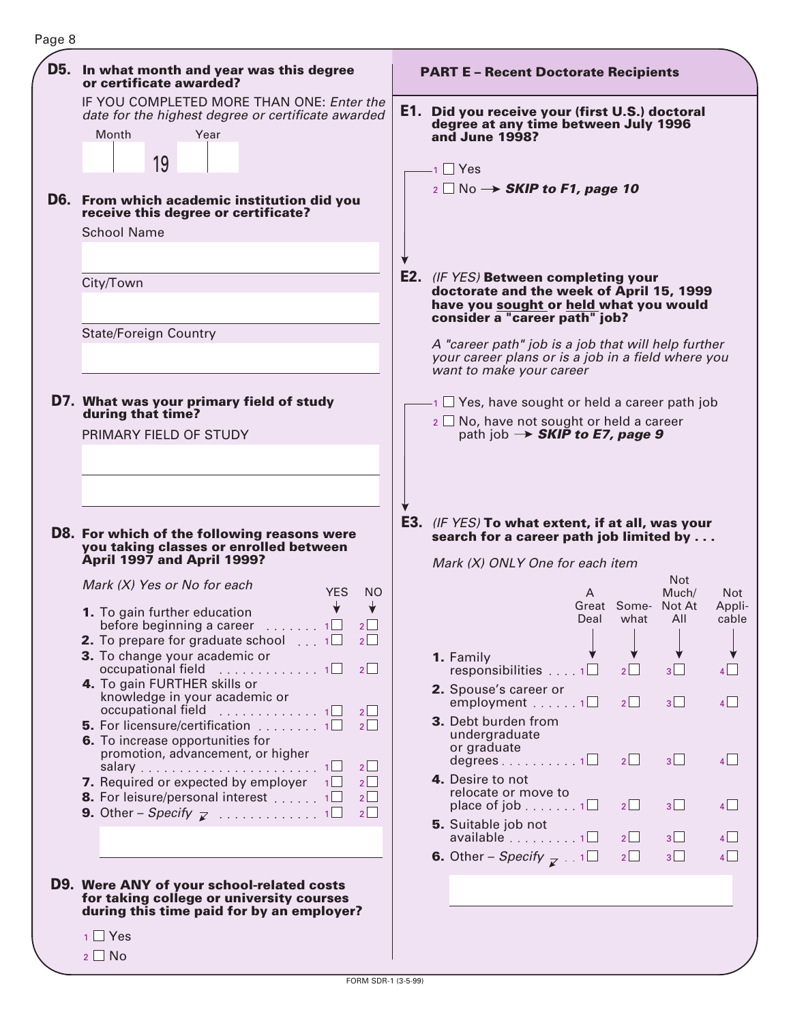| D5. In what month and year was this degree<br>or certificate awarded?                                                                                                       | <b>PART E - Recent Doctorate Recipients</b>                                                                                                                        |                     |                                |                               |
|-----------------------------------------------------------------------------------------------------------------------------------------------------------------------------|--------------------------------------------------------------------------------------------------------------------------------------------------------------------|---------------------|--------------------------------|-------------------------------|
| IF YOU COMPLETED MORE THAN ONE: Enter the<br>date for the highest degree or certificate awarded<br>Month<br>Year<br>19                                                      | E1. Did you receive your (first U.S.) doctoral<br>degree at any time between July 1996<br>and June 1998?<br>$1 \square$ Yes                                        |                     |                                |                               |
| <b>D6.</b> From which academic institution did you<br>receive this degree or certificate?<br><b>School Name</b>                                                             | $_2 \Box$ No $\rightarrow$ SKIP to F1, page 10                                                                                                                     |                     |                                |                               |
| City/Town<br><b>State/Foreign Country</b>                                                                                                                                   | <b>E2.</b> (IF YES) Between completing your<br>doctorate and the week of April 15, 1999<br>have you sought or held what you would<br>consider a "career path" job? |                     |                                |                               |
|                                                                                                                                                                             | A "career path" job is a job that will help further<br>your career plans or is a job in a field where you<br>want to make your career                              |                     |                                |                               |
| D7. What was your primary field of study<br>during that time?<br>PRIMARY FIELD OF STUDY                                                                                     | $\cdot$ 1 $\Box$ Yes, have sought or held a career path job<br>$2 \square$ No, have not sought or held a career<br>path job $\rightarrow$ SKIP to E7, page 9       |                     |                                |                               |
| D8. For which of the following reasons were<br>you taking classes or enrolled between<br>April 1997 and April 1999?                                                         | <b>E3.</b> (IF YES) To what extent, if at all, was your<br>search for a career path job limited by<br>Mark (X) ONLY One for each item                              |                     |                                |                               |
| Mark (X) Yes or No for each<br><b>YES</b><br><b>NO</b><br>1. To gain further education<br>before beginning a career<br>$\overline{1}$                                       | A<br>Deal                                                                                                                                                          | Great Some-<br>what | Not.<br>Much/<br>Not At<br>All | <b>Not</b><br>Appli-<br>cable |
| <b>2.</b> To prepare for graduate school $\ldots$ 1<br>$2\Box$<br>3. To change your academic or<br>occupational field 1□<br>2                                               | 1. Family                                                                                                                                                          | $2\Box$             | 3                              |                               |
| 4. To gain FURTHER skills or<br>knowledge in your academic or                                                                                                               | responsibilities $\ldots$ 1<br>2. Spouse's career or<br>employment 1                                                                                               | 2                   | 3 <sub>1</sub>                 | $4$                           |
| occupational field 1<br>$2$  <br><b>5.</b> For licensure/certification $\ldots \ldots \ldots$<br>2<br>6. To increase opportunities for<br>promotion, advancement, or higher | 3. Debt burden from<br>undergraduate<br>or graduate                                                                                                                |                     |                                |                               |
| 2<br><b>7.</b> Required or expected by employer $1\Box$<br>2                                                                                                                | $degrees$ 1<br>4. Desire to not<br>relocate or move to                                                                                                             | 2                   | 3 <sup>1</sup>                 | 4                             |
| 8. For leisure/personal interest 1<br>2<br>$2\Box$                                                                                                                          | place of job $\ldots \ldots 1$<br><b>5.</b> Suitable job not                                                                                                       | $2\Box$             | 3                              | 4                             |
|                                                                                                                                                                             | $available \dots \dots 1$<br><b>6.</b> Other – Specify $\mathbf{z}$ 1 $\Box$                                                                                       | 2<br>2              | 3 <sup>1</sup><br>$3\Box$      | $4$  <br>4                    |
| D9. Were ANY of your school-related costs<br>for taking college or university courses<br>during this time paid for by an employer?                                          |                                                                                                                                                                    |                     |                                |                               |
| $1 \Box$ Yes                                                                                                                                                                |                                                                                                                                                                    |                     |                                |                               |
| $2 \square$ No                                                                                                                                                              |                                                                                                                                                                    |                     |                                |                               |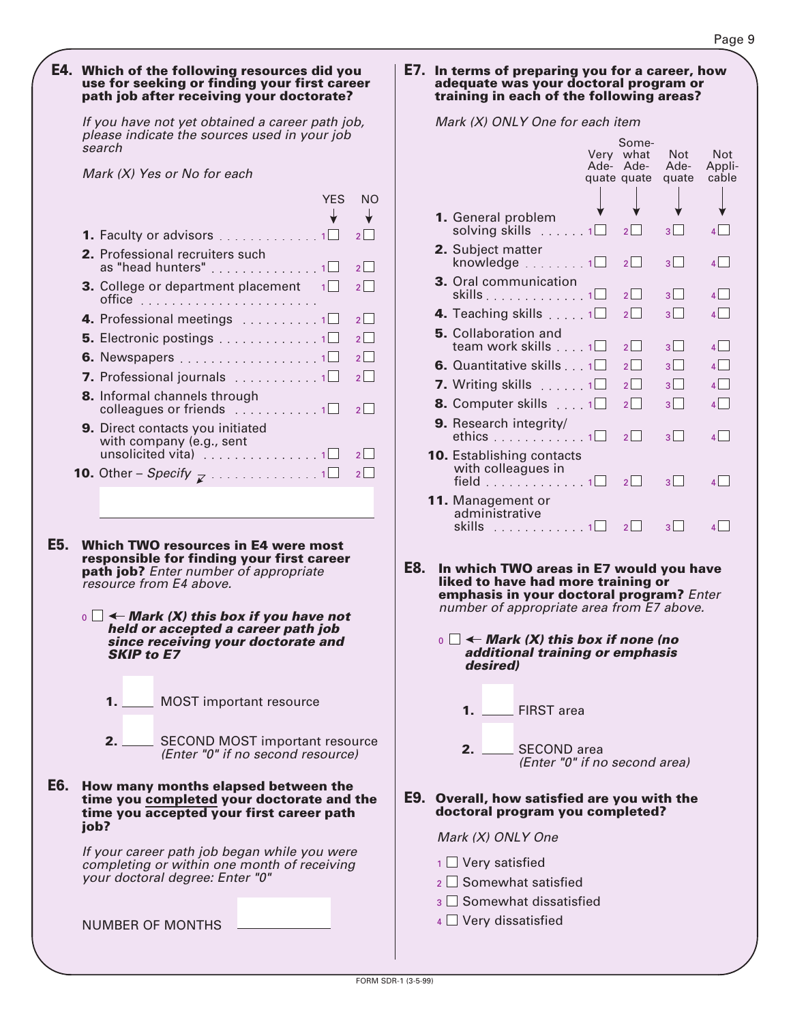#### **E4. Which of the following resources did you use for seeking or finding your first career path job after receiving your doctorate?**

If you have not yet obtained a career path job, please indicate the sources used in your job search

Mark (X) Yes or No for each

|                                                                                                                          | <b>YFS</b> | NO |
|--------------------------------------------------------------------------------------------------------------------------|------------|----|
|                                                                                                                          |            |    |
| 1. Faculty or advisors 1                                                                                                 |            | 2  |
| <b>2.</b> Professional recruiters such<br>as "head hunters" 1 $\square$                                                  |            | 2  |
| <b>3.</b> College or department placement                                                                                | 1          | 2  |
| 4. Professional meetings 1                                                                                               |            | 2  |
| <b>5.</b> Electronic postings $\ldots \ldots \ldots \ldots 1 \square$                                                    |            | 2  |
| <b>6.</b> Newspapers 1 $\Box$                                                                                            |            | 2  |
| <b>7.</b> Professional journals $\ldots \ldots \ldots \ldots$                                                            |            | 2  |
| <b>8.</b> Informal channels through<br>colleagues or friends $\ldots \ldots \ldots 1$                                    |            | 2  |
| <b>9.</b> Direct contacts you initiated<br>with company (e.g., sent<br>unsolicited vita) $\ldots \ldots \ldots \ldots 1$ |            | 2  |
| <b>10.</b> Other – Specify $\overline{z}$ 1                                                                              |            |    |

- **E5. Which TWO resources in E4 were most responsible for finding your first career path job?** Enter number of appropriate resource from E4 above.
	- $\mathbf{0} \subset \mathbf{A}$  Mark (X) this box if you have not **held or accepted a career path job since receiving your doctorate and SKIP to E7**
		- MOST important resource **1.**
		- SECOND MOST important resource (Enter "0" if no second resource) **2.**
- **E6. How many months elapsed between the time you completed your doctorate and the time you accepted your first career path job?**

If your career path job began while you were completing or within one month of receiving your doctoral degree: Enter "0"

NUMBER OF MONTHS

#### **E7. In terms of preparing you for a career, how adequate was your doctoral program or training in each of the following areas?**

Mark (X) ONLY One for each item

|                                                                                                                                                                                                                                                                                                                                | Ade- | Some-<br>Very what<br>Ade-<br>quate quate | <b>Not</b><br>Ade-<br>quate | Not<br>Appli-<br>cable |
|--------------------------------------------------------------------------------------------------------------------------------------------------------------------------------------------------------------------------------------------------------------------------------------------------------------------------------|------|-------------------------------------------|-----------------------------|------------------------|
| 1. General problem<br>solving skills $\ldots$ 1                                                                                                                                                                                                                                                                                |      | $\overline{2}$                            | $3^{\square}$               | $\overline{4}$         |
| <b>2.</b> Subject matter<br>knowledge $\ldots \ldots \ldots$                                                                                                                                                                                                                                                                   |      | $2^{\vert}$                               | 3                           | $\overline{4}$         |
| 3. Oral communication                                                                                                                                                                                                                                                                                                          |      | 2                                         | $3^{\vert}$                 | $\overline{4}$         |
| <b>4.</b> Teaching skills $\ldots \cdot 1$                                                                                                                                                                                                                                                                                     |      | $2^  \top$                                | $\overline{3}$              | $\overline{4}$         |
| <b>5.</b> Collaboration and<br>team work skills 1                                                                                                                                                                                                                                                                              |      | $\overline{2}$                            | $3 \mid$                    | $\overline{4}$         |
| 6. Quantitative skills 1                                                                                                                                                                                                                                                                                                       |      | $\overline{2}$                            | $\overline{3}$              | $\overline{4}$         |
| <b>7.</b> Writing skills $\ldots \ldots \cdot$                                                                                                                                                                                                                                                                                 |      | $\overline{\mathcal{L}}$                  | $\mathbf{R}$                | 4 L                    |
| <b>8.</b> Computer skills $\ldots$ 1                                                                                                                                                                                                                                                                                           |      | $\overline{2}$                            | $3 \mid$                    | $\overline{4}$         |
| 9. Research integrity/<br>ethics $\ldots \ldots \ldots \ldots 1$                                                                                                                                                                                                                                                               |      | $2 \mid$                                  | $3\Box$                     | 4                      |
| <b>10.</b> Establishing contacts<br>with colleagues in<br>field $\ldots \ldots \ldots \ldots 1$                                                                                                                                                                                                                                |      | $2 \mid$                                  | $3^{\vert}$                 | 4                      |
| 11. Management or<br>administrative<br>skills<br>1.1.1.1.1.1.1.1.1                                                                                                                                                                                                                                                             |      | 2                                         | $3 \mid \cdot \mid$         | $\mathbf{4}$           |
| E8.<br>In which TWO areas in E7 would you have<br>liked to have had more training or<br>emphasis in your doctoral program? Enter<br>number of appropriate area from E7 above.<br>$\Box$ $\leftarrow$ Mark (X) this box if none (no<br>$\overline{0}$<br>additional training or emphasis<br>desired)<br><b>FIRST</b> area<br>1. |      |                                           |                             |                        |
|                                                                                                                                                                                                                                                                                                                                |      |                                           |                             |                        |

SECOND area (Enter "0" if no second area) **2.**

#### **Overall, how satisfied are you with the E9. doctoral program you completed?**

Mark (X) ONLY One

- $_1\Box$  Very satisfied
- $_2\,\square$  Somewhat satisfied
- $_3$   $\Box$  Somewhat dissatisfied
- $_4$   $\Box$  Very dissatisfied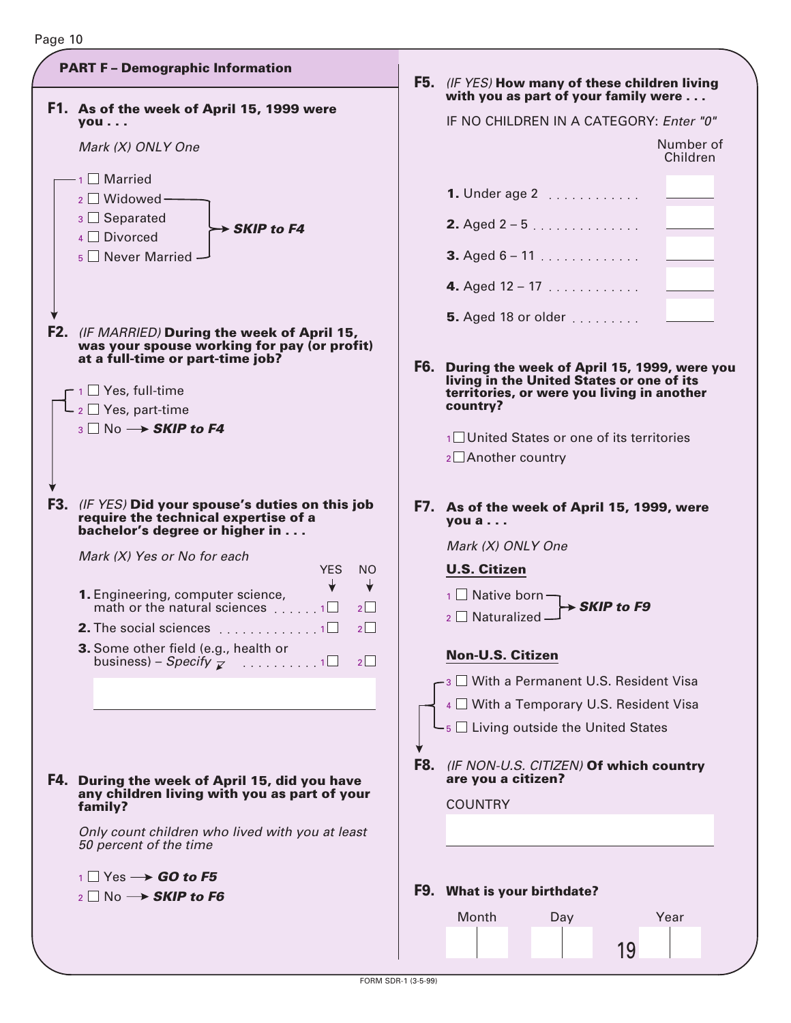

| (IF YES) How many of these children living<br>with you as part of your family were |                       |  |  |  |  |  |  |
|------------------------------------------------------------------------------------|-----------------------|--|--|--|--|--|--|
| IF NO CHILDREN IN A CATEGORY: Enter "0"                                            |                       |  |  |  |  |  |  |
|                                                                                    | Number of<br>Children |  |  |  |  |  |  |
| <b>1.</b> Under age 2                                                              |                       |  |  |  |  |  |  |
| <b>2.</b> Aged $2 - 5$                                                             |                       |  |  |  |  |  |  |
| <b>3.</b> Aged $6 - 11$                                                            |                       |  |  |  |  |  |  |
| 4. Aged $12 - 17$                                                                  |                       |  |  |  |  |  |  |
| <b>5.</b> Aged 18 or older                                                         |                       |  |  |  |  |  |  |

**During the week of April 15, 1999, were you F6. living in the United States or one of its territories, or were you living in another country?**

 $1$  United States or one of its territories  $2$  $\Box$  Another country

**F7. As of the week of April 15, 1999, were you a . . .**

Mark (X) ONLY One

# **U.S. Citizen**

**SKIP to F9**  $\overline{1}$  Native born Naturalized 2

- **Non-U.S. Citizen**
- $-$ <sub>3</sub>  $\Box$  With a Permanent U.S. Resident Visa
- $4 \square$  With a Temporary U.S. Resident Visa

 $-5$  Living outside the United States

(IF NON-U.S. CITIZEN) **Of which country F8. are you a citizen?**

**COUNTRY** 

# **F9. What is your birthdate?**

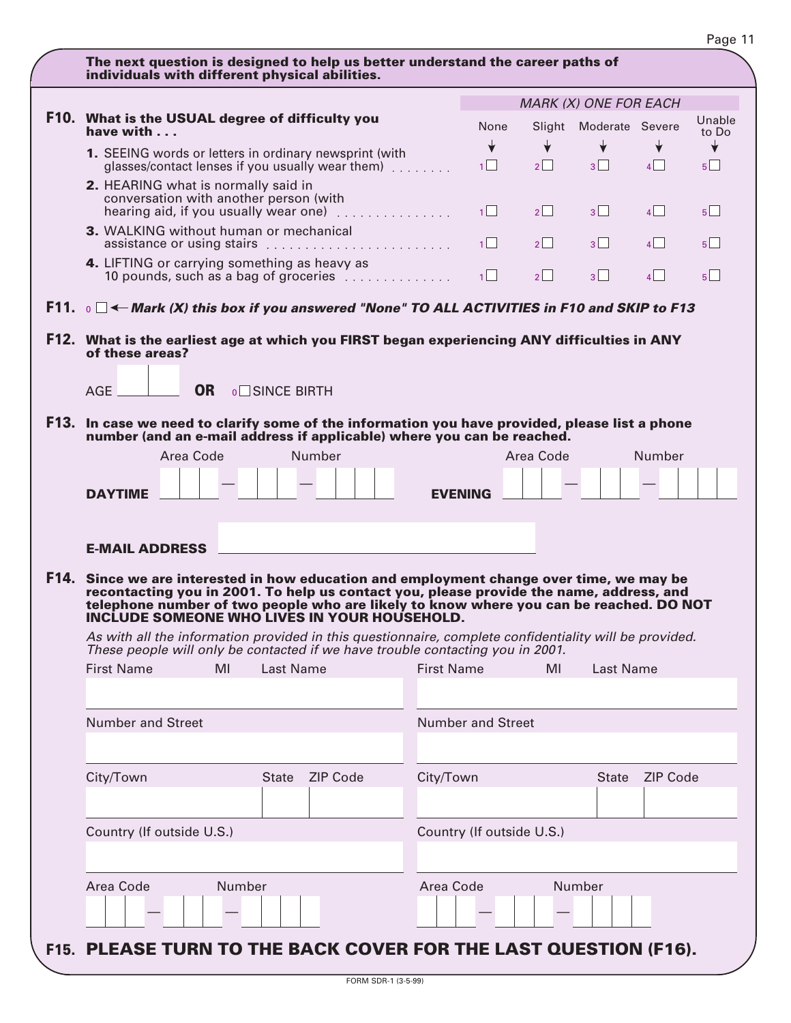| The next question is designed to help us better understand the career paths of                                                                                                    |                           |           |                              |                 |                                |
|-----------------------------------------------------------------------------------------------------------------------------------------------------------------------------------|---------------------------|-----------|------------------------------|-----------------|--------------------------------|
| individuals with different physical abilities.                                                                                                                                    |                           |           |                              |                 |                                |
|                                                                                                                                                                                   |                           |           | <b>MARK (X) ONE FOR EACH</b> |                 |                                |
| F10. What is the USUAL degree of difficulty you                                                                                                                                   |                           |           |                              |                 | Unable                         |
| have with $\ldots$                                                                                                                                                                | None                      |           | Slight Moderate Severe       |                 | to Do                          |
| 1. SEEING words or letters in ordinary newsprint (with                                                                                                                            | $\overline{\mathbf{v}}$   | ✦         | $\downarrow$                 | ╈               | ╈                              |
| glasses/contact lenses if you usually wear them)                                                                                                                                  | 1                         | $2$       | $3\Box$                      | $4$             | 5                              |
| 2. HEARING what is normally said in                                                                                                                                               |                           |           |                              |                 |                                |
| conversation with another person (with<br>hearing aid, if you usually wear one)                                                                                                   | 1                         | $2$       | 3                            | 4               | 5                              |
| 3. WALKING without human or mechanical                                                                                                                                            |                           |           |                              |                 |                                |
| assistance or using stairs                                                                                                                                                        | 1                         | $2$       | 3                            | 4               | $5$   $\overline{\phantom{0}}$ |
| 4. LIFTING or carrying something as heavy as<br>10 pounds, such as a bag of groceries                                                                                             | 1                         | 2         | 3 <sup>1</sup>               | $\overline{4}$  | $5$                            |
| F11. $\circ$ $\Box$ $\leftarrow$ Mark (X) this box if you answered "None" TO ALL ACTIVITIES in F10 and SKIP to F13                                                                |                           |           |                              |                 |                                |
| F12. What is the earliest age at which you FIRST began experiencing ANY difficulties in ANY                                                                                       |                           |           |                              |                 |                                |
| of these areas?                                                                                                                                                                   |                           |           |                              |                 |                                |
|                                                                                                                                                                                   |                           |           |                              |                 |                                |
| <b>OR</b><br>AGE.<br><b>O</b> SINCE BIRTH                                                                                                                                         |                           |           |                              |                 |                                |
|                                                                                                                                                                                   |                           |           |                              |                 |                                |
| F13. In case we need to clarify some of the information you have provided, please list a phone<br>number (and an e-mail address if applicable) where you can be reached.          |                           |           |                              |                 |                                |
| Area Code<br>Number                                                                                                                                                               |                           | Area Code |                              | Number          |                                |
|                                                                                                                                                                                   |                           |           |                              |                 |                                |
| <b>DAYTIME</b>                                                                                                                                                                    | <b>EVENING</b>            |           |                              |                 |                                |
|                                                                                                                                                                                   |                           |           |                              |                 |                                |
|                                                                                                                                                                                   |                           |           |                              |                 |                                |
|                                                                                                                                                                                   |                           |           |                              |                 |                                |
| <b>E-MAIL ADDRESS</b>                                                                                                                                                             |                           |           |                              |                 |                                |
|                                                                                                                                                                                   |                           |           |                              |                 |                                |
| F14. Since we are interested in how education and employment change over time, we may be                                                                                          |                           |           |                              |                 |                                |
| recontacting you in 2001. To help us contact you, please provide the name, address, and<br>telephone number of two people who are likely to know where you can be reached. DO NOT |                           |           |                              |                 |                                |
| INCLUDE SOMEONE WHO LIVES IN YOUR HOUSEHOLD.                                                                                                                                      |                           |           |                              |                 |                                |
| As with all the information provided in this questionnaire, complete confidentiality will be provided.                                                                            |                           |           |                              |                 |                                |
| These people will only be contacted if we have trouble contacting you in 2001.                                                                                                    |                           |           |                              |                 |                                |
| MI<br><b>First Name</b><br>Last Name                                                                                                                                              | <b>First Name</b>         | MI        | Last Name                    |                 |                                |
|                                                                                                                                                                                   |                           |           |                              |                 |                                |
|                                                                                                                                                                                   |                           |           |                              |                 |                                |
| <b>Number and Street</b>                                                                                                                                                          | <b>Number and Street</b>  |           |                              |                 |                                |
|                                                                                                                                                                                   |                           |           |                              |                 |                                |
|                                                                                                                                                                                   |                           |           |                              |                 |                                |
| City/Town<br><b>ZIP Code</b><br>State                                                                                                                                             | City/Town                 |           | <b>State</b>                 | <b>ZIP Code</b> |                                |
|                                                                                                                                                                                   |                           |           |                              |                 |                                |
|                                                                                                                                                                                   |                           |           |                              |                 |                                |
| Country (If outside U.S.)                                                                                                                                                         | Country (If outside U.S.) |           |                              |                 |                                |
|                                                                                                                                                                                   |                           |           |                              |                 |                                |
| Area Code<br>Number                                                                                                                                                               | Area Code                 |           | Number                       |                 |                                |
|                                                                                                                                                                                   |                           |           |                              |                 |                                |
| F15. PLEASE TURN TO THE BACK COVER FOR THE LAST QUESTION (F16).                                                                                                                   |                           |           |                              |                 |                                |

# Page 11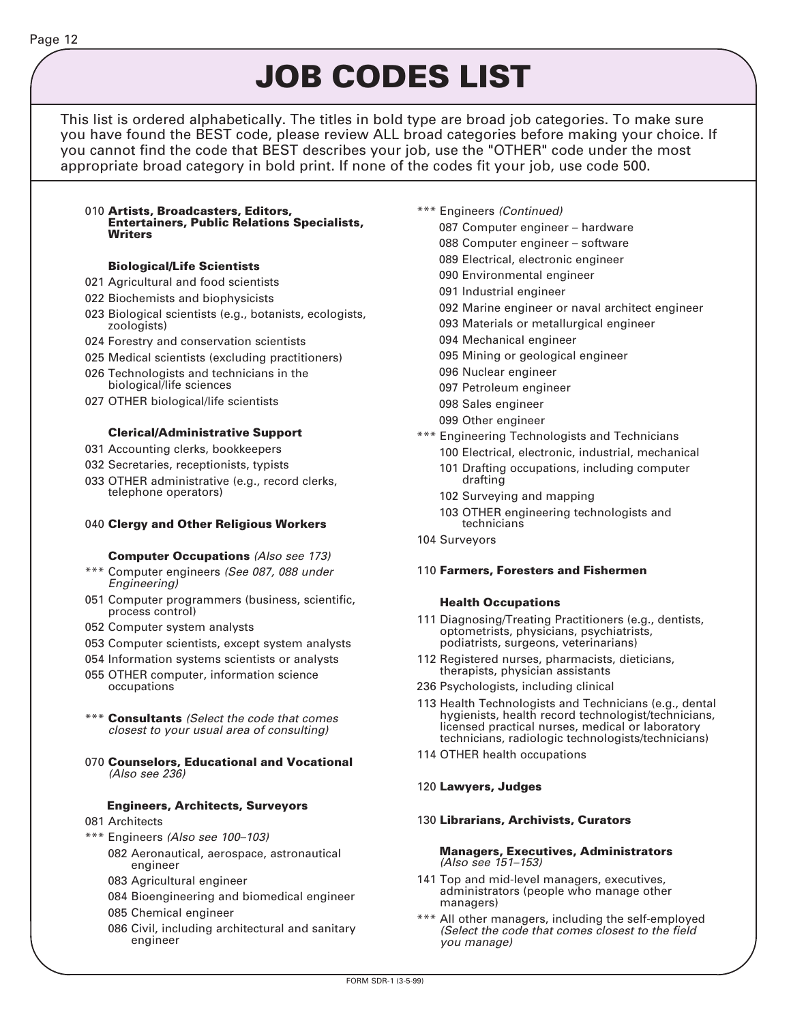# **JOB CODES LIST**

This list is ordered alphabetically. The titles in bold type are broad job categories. To make sure you have found the BEST code, please review ALL broad categories before making your choice. If you cannot find the code that BEST describes your job, use the "OTHER" code under the most appropriate broad category in bold print. If none of the codes fit your job, use code 500.

#### 010 **Artists, Broadcasters, Editors, Entertainers, Public Relations Specialists, Writers**

### **Biological/Life Scientists**

- 021 Agricultural and food scientists
- 022 Biochemists and biophysicists
- 023 Biological scientists (e.g., botanists, ecologists, zoologists)
- 024 Forestry and conservation scientists
- 025 Medical scientists (excluding practitioners)
- 026 Technologists and technicians in the biological/life sciences
- 027 OTHER biological/life scientists

#### **Clerical/Administrative Support**

- 031 Accounting clerks, bookkeepers
- 032 Secretaries, receptionists, typists
- 033 OTHER administrative (e.g., record clerks, telephone operators)

#### 040 **Clergy and Other Religious Workers**

#### **Computer Occupations** (Also see 173)

- \*\*\* Computer engineers (See 087, 088 under Engineering)
- 051 Computer programmers (business, scientific, process control)
- 052 Computer system analysts
- 053 Computer scientists, except system analysts
- 054 Information systems scientists or analysts
- 055 OTHER computer, information science occupations
- \*\*\* **Consultants** (Select the code that comes closest to your usual area of consulting)
- 070 **Counselors, Educational and Vocational** (Also see 236)

#### **Engineers, Architects, Surveyors**

- 081 Architects
- \*\*\* Engineers (Also see 100–103)
	- 082 Aeronautical, aerospace, astronautical engineer
	- 083 Agricultural engineer
	- 084 Bioengineering and biomedical engineer
	- 085 Chemical engineer
	- 086 Civil, including architectural and sanitary engineer
- \*\*\* Engineers (Continued)
	- 087 Computer engineer hardware
	- 088 Computer engineer software
	- 089 Electrical, electronic engineer
	- 090 Environmental engineer
	- 091 Industrial engineer
	- 092 Marine engineer or naval architect engineer
	- 093 Materials or metallurgical engineer
	- 094 Mechanical engineer
	- 095 Mining or geological engineer
	- 096 Nuclear engineer
	- 097 Petroleum engineer
	- 098 Sales engineer
	- 099 Other engineer
- \*\*\* Engineering Technologists and Technicians 100 Electrical, electronic, industrial, mechanical
	- 101 Drafting occupations, including computer drafting
	- 102 Surveying and mapping
	- 103 OTHER engineering technologists and technicians
- 104 Surveyors

#### 110 **Farmers, Foresters and Fishermen**

#### **Health Occupations**

- 111 Diagnosing/Treating Practitioners (e.g., dentists, optometrists, physicians, psychiatrists, podiatrists, surgeons, veterinarians)
- 112 Registered nurses, pharmacists, dieticians, therapists, physician assistants
- 236 Psychologists, including clinical
- 113 Health Technologists and Technicians (e.g., dental hygienists, health record technologist/technicians, licensed practical nurses, medical or laboratory technicians, radiologic technologists/technicians)
- 114 OTHER health occupations
- 120 **Lawyers, Judges**

#### 130 **Librarians, Archivists, Curators**

#### **Managers, Executives, Administrators** (Also see 151–153)

- 141 Top and mid-level managers, executives, administrators (people who manage other managers)
- \*\*\* All other managers, including the self-employed (Select the code that comes closest to the field you manage)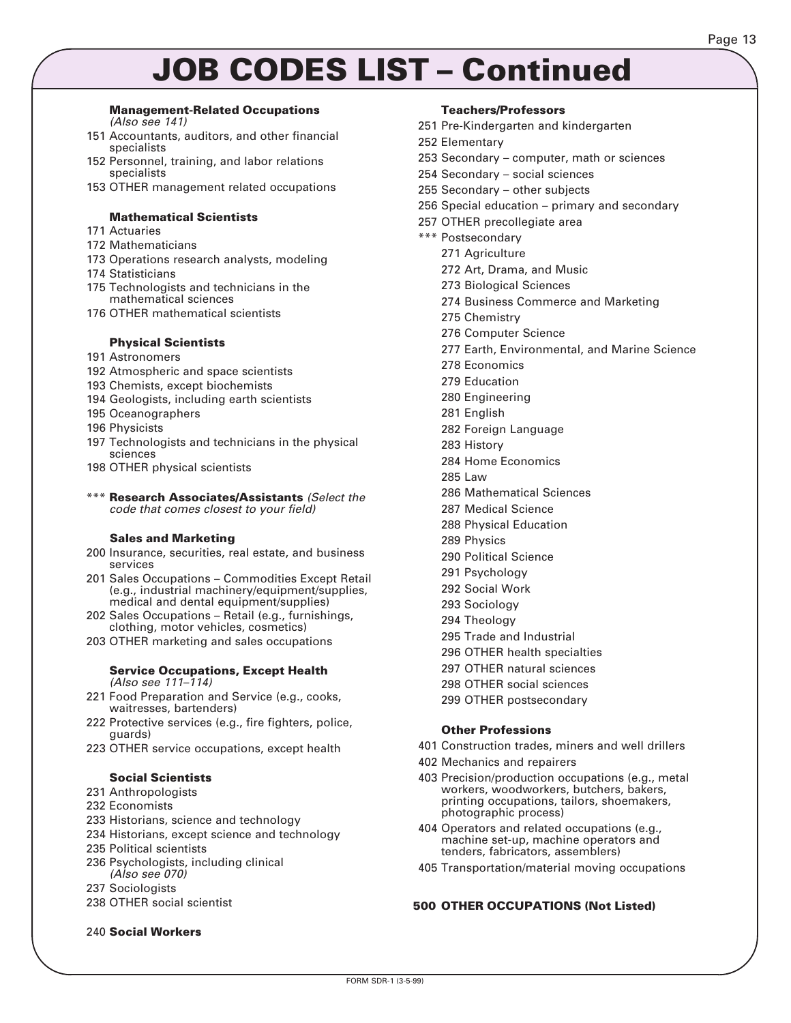# **JOB CODES LIST – Continued**

#### **Management-Related Occupations**

(Also see 141)

- 151 Accountants, auditors, and other financial specialists
- 152 Personnel, training, and labor relations specialists
- 153 OTHER management related occupations

#### **Mathematical Scientists**

- 171 Actuaries
- 172 Mathematicians
- 173 Operations research analysts, modeling
- 174 Statisticians
- 175 Technologists and technicians in the mathematical sciences
- 176 OTHER mathematical scientists

#### **Physical Scientists**

#### 191 Astronomers

- 192 Atmospheric and space scientists
- 193 Chemists, except biochemists
- 194 Geologists, including earth scientists
- 195 Oceanographers
- 196 Physicists
- 197 Technologists and technicians in the physical sciences
- 198 OTHER physical scientists
- \*\*\* **Research Associates/Assistants** (Select the code that comes closest to your field)

#### **Sales and Marketing**

- 200 Insurance, securities, real estate, and business services
- 201 Sales Occupations Commodities Except Retail (e.g., industrial machinery/equipment/supplies, medical and dental equipment/supplies)
- 202 Sales Occupations Retail (e.g., furnishings, clothing, motor vehicles, cosmetics)
- 203 OTHER marketing and sales occupations

#### **Service Occupations, Except Health** (Also see 111–114)

- 221 Food Preparation and Service (e.g., cooks, waitresses, bartenders)
- 222 Protective services (e.g., fire fighters, police, guards)
- 223 OTHER service occupations, except health

### **Social Scientists**

- 231 Anthropologists
- 232 Economists
- 233 Historians, science and technology
- 234 Historians, except science and technology
- 235 Political scientists
- 236 Psychologists, including clinical (Also see 070)
- 237 Sociologists
- 238 OTHER social scientist

#### 240 **Social Workers**

#### **Teachers/Professors**

- 251 Pre-Kindergarten and kindergarten
- 252 Elementary
- 253 Secondary computer, math or sciences
- 254 Secondary social sciences
- 255 Secondary other subjects
- 256 Special education primary and secondary
- 257 OTHER precollegiate area

#### \*\*\* Postsecondary

- 271 Agriculture
- 272 Art, Drama, and Music
- 273 Biological Sciences
- 274 Business Commerce and Marketing
- 275 Chemistry
- 276 Computer Science
- 277 Earth, Environmental, and Marine Science
- 278 Economics
- 279 Education
- 280 Engineering
- 281 English
- 282 Foreign Language
- 283 History
- 284 Home Economics
- 285 Law
- 286 Mathematical Sciences
- 287 Medical Science
- 288 Physical Education
- 289 Physics
- 290 Political Science
- 291 Psychology
- 292 Social Work
- 293 Sociology
- 294 Theology
- 295 Trade and Industrial
- 296 OTHER health specialties
- 297 OTHER natural sciences
- 298 OTHER social sciences
- 299 OTHER postsecondary

#### **Other Professions**

- 401 Construction trades, miners and well drillers
- 402 Mechanics and repairers
- 403 Precision/production occupations (e.g., metal workers, woodworkers, butchers, bakers, printing occupations, tailors, shoemakers, photographic process)
- 404 Operators and related occupations (e.g., machine set-up, machine operators and tenders, fabricators, assemblers)
- 405 Transportation/material moving occupations

#### **500 OTHER OCCUPATIONS (Not Listed)**